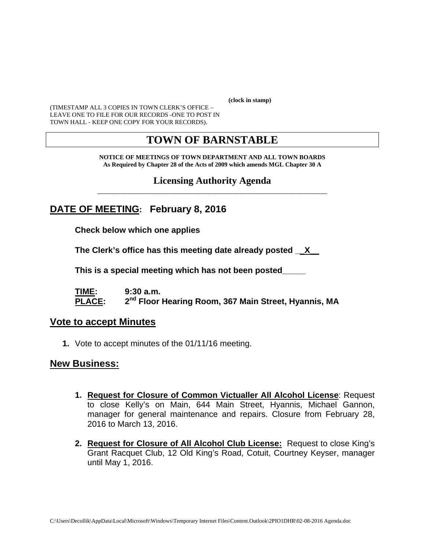**(clock in stamp)** 

(TIMESTAMP ALL 3 COPIES IN TOWN CLERK'S OFFICE – LEAVE ONE TO FILE FOR OUR RECORDS -ONE TO POST IN TOWN HALL - KEEP ONE COPY FOR YOUR RECORDS).

# **TOWN OF BARNSTABLE**

**NOTICE OF MEETINGS OF TOWN DEPARTMENT AND ALL TOWN BOARDS As Required by Chapter 28 of the Acts of 2009 which amends MGL Chapter 30 A** 

#### **Licensing Authority Agenda** \_\_\_\_\_\_\_\_\_\_\_\_\_\_\_\_\_\_\_\_\_\_\_\_\_\_\_\_\_\_\_\_\_\_\_\_\_\_\_\_\_\_\_\_\_\_\_\_\_\_\_\_\_\_\_\_\_\_\_\_

# **DATE OF MEETING: February 8, 2016**

**Check below which one applies** 

**The Clerk's office has this meeting date already posted \_\_X\_\_** 

 **This is a special meeting which has not been posted\_\_\_\_\_** 

**TIME: 9:30 a.m. PLACE: 2nd Floor Hearing Room, 367 Main Street, Hyannis, MA**

#### **Vote to accept Minutes**

**1.** Vote to accept minutes of the 01/11/16 meeting.

#### **New Business:**

- **1. Request for Closure of Common Victualler All Alcohol License**: Request to close Kelly's on Main, 644 Main Street, Hyannis, Michael Gannon, manager for general maintenance and repairs. Closure from February 28, 2016 to March 13, 2016.
- **2. Request for Closure of All Alcohol Club License:** Request to close King's Grant Racquet Club, 12 Old King's Road, Cotuit, Courtney Keyser, manager until May 1, 2016.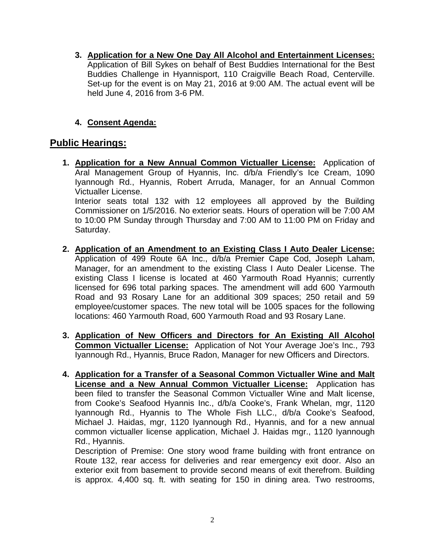**3. Application for a New One Day All Alcohol and Entertainment Licenses:** Application of Bill Sykes on behalf of Best Buddies International for the Best Buddies Challenge in Hyannisport, 110 Craigville Beach Road, Centerville. Set-up for the event is on May 21, 2016 at 9:00 AM. The actual event will be held June 4, 2016 from 3-6 PM.

#### **4. Consent Agenda:**

## **Public Hearings:**

Saturday.

- **1. Application for a New Annual Common Victualler License:** Application of Aral Management Group of Hyannis, Inc. d/b/a Friendly's Ice Cream, 1090 Iyannough Rd., Hyannis, Robert Arruda, Manager, for an Annual Common Victualler License. Interior seats total 132 with 12 employees all approved by the Building Commissioner on 1/5/2016. No exterior seats. Hours of operation will be 7:00 AM to 10:00 PM Sunday through Thursday and 7:00 AM to 11:00 PM on Friday and
- **2. Application of an Amendment to an Existing Class I Auto Dealer License:** Application of 499 Route 6A Inc., d/b/a Premier Cape Cod, Joseph Laham, Manager, for an amendment to the existing Class I Auto Dealer License. The existing Class I license is located at 460 Yarmouth Road Hyannis; currently licensed for 696 total parking spaces. The amendment will add 600 Yarmouth Road and 93 Rosary Lane for an additional 309 spaces; 250 retail and 59 employee/customer spaces. The new total will be 1005 spaces for the following locations: 460 Yarmouth Road, 600 Yarmouth Road and 93 Rosary Lane.
- **3. Application of New Officers and Directors for An Existing All Alcohol Common Victualler License:** Application of Not Your Average Joe's Inc., 793 Iyannough Rd., Hyannis, Bruce Radon, Manager for new Officers and Directors.
- **4. Application for a Transfer of a Seasonal Common Victualler Wine and Malt License and a New Annual Common Victualler License:** Application has been filed to transfer the Seasonal Common Victualler Wine and Malt license, from Cooke's Seafood Hyannis Inc., d/b/a Cooke's, Frank Whelan, mgr, 1120 Iyannough Rd., Hyannis to The Whole Fish LLC., d/b/a Cooke's Seafood, Michael J. Haidas, mgr, 1120 Iyannough Rd., Hyannis, and for a new annual common victualler license application, Michael J. Haidas mgr., 1120 Iyannough Rd., Hyannis.

Description of Premise: One story wood frame building with front entrance on Route 132, rear access for deliveries and rear emergency exit door. Also an exterior exit from basement to provide second means of exit therefrom. Building is approx. 4,400 sq. ft. with seating for 150 in dining area. Two restrooms,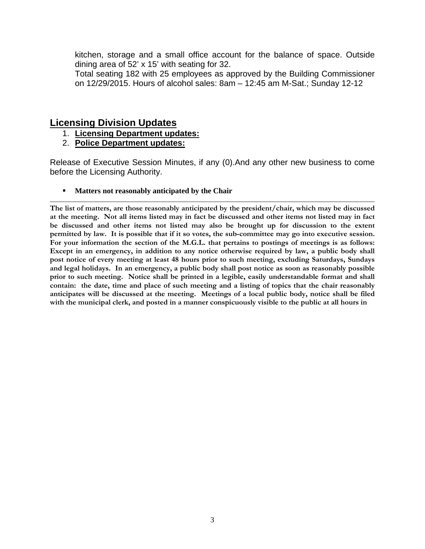kitchen, storage and a small office account for the balance of space. Outside dining area of 52' x 15' with seating for 32.

Total seating 182 with 25 employees as approved by the Building Commissioner on 12/29/2015. Hours of alcohol sales: 8am – 12:45 am M-Sat.; Sunday 12-12

#### **Licensing Division Updates**

- 1. **Licensing Department updates:**
- 2. **Police Department updates:**

Release of Executive Session Minutes, if any (0).And any other new business to come before the Licensing Authority.

**Matters not reasonably anticipated by the Chair** 

**The list of matters, are those reasonably anticipated by the president/chair, which may be discussed at the meeting. Not all items listed may in fact be discussed and other items not listed may in fact be discussed and other items not listed may also be brought up for discussion to the extent permitted by law. It is possible that if it so votes, the sub-committee may go into executive session. For your information the section of the M.G.L. that pertains to postings of meetings is as follows: Except in an emergency, in addition to any notice otherwise required by law, a public body shall post notice of every meeting at least 48 hours prior to such meeting, excluding Saturdays, Sundays and legal holidays. In an emergency, a public body shall post notice as soon as reasonably possible prior to such meeting. Notice shall be printed in a legible, easily understandable format and shall contain: the date, time and place of such meeting and a listing of topics that the chair reasonably anticipates will be discussed at the meeting. Meetings of a local public body, notice shall be filed with the municipal clerk, and posted in a manner conspicuously visible to the public at all hours in**